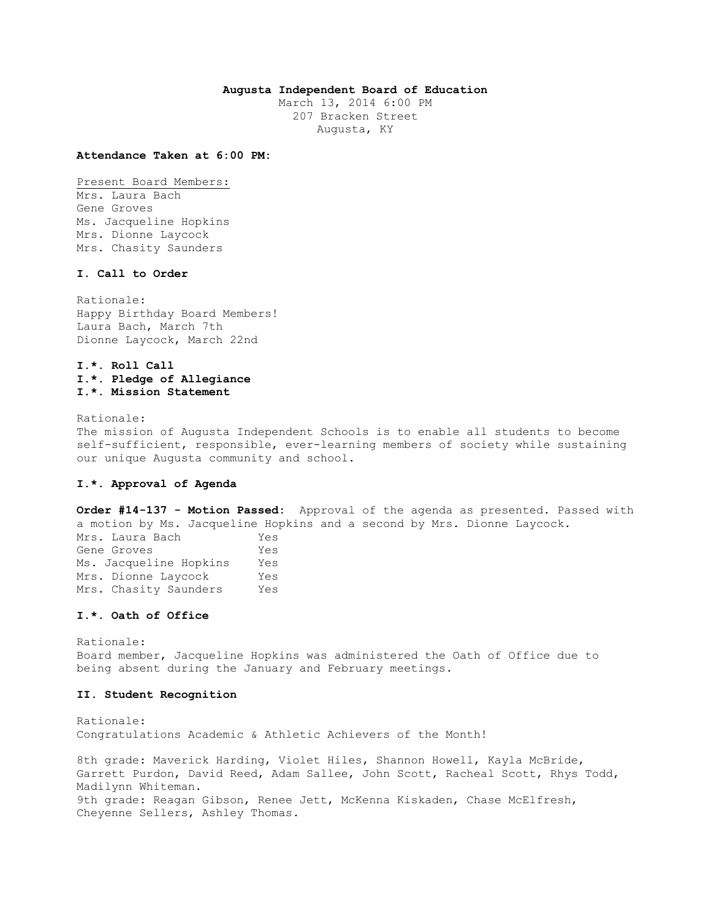# **Augusta Independent Board of Education**

March 13, 2014 6:00 PM 207 Bracken Street Augusta, KY

#### **Attendance Taken at 6:00 PM:**

Present Board Members: Mrs. Laura Bach Gene Groves Ms. Jacqueline Hopkins Mrs. Dionne Laycock Mrs. Chasity Saunders

# **I. Call to Order**

Rationale: Happy Birthday Board Members! Laura Bach, March 7th Dionne Laycock, March 22nd

# **I.\*. Roll Call I.\*. Pledge of Allegiance I.\*. Mission Statement**

Rationale:

The mission of Augusta Independent Schools is to enable all students to become self-sufficient, responsible, ever-learning members of society while sustaining our unique Augusta community and school.

# **I.\*. Approval of Agenda**

**Order #14-137 - Motion Passed:** Approval of the agenda as presented. Passed with a motion by Ms. Jacqueline Hopkins and a second by Mrs. Dionne Laycock. Mrs. Laura Bach Yes Gene Groves Yes Ms. Jacqueline Hopkins Yes Mrs. Dionne Laycock Yes Mrs. Chasity Saunders Yes

#### **I.\*. Oath of Office**

Rationale: Board member, Jacqueline Hopkins was administered the Oath of Office due to being absent during the January and February meetings.

# **II. Student Recognition**

Rationale: Congratulations Academic & Athletic Achievers of the Month!

8th grade: Maverick Harding, Violet Hiles, Shannon Howell, Kayla McBride, Garrett Purdon, David Reed, Adam Sallee, John Scott, Racheal Scott, Rhys Todd, Madilynn Whiteman. 9th grade: Reagan Gibson, Renee Jett, McKenna Kiskaden, Chase McElfresh, Cheyenne Sellers, Ashley Thomas.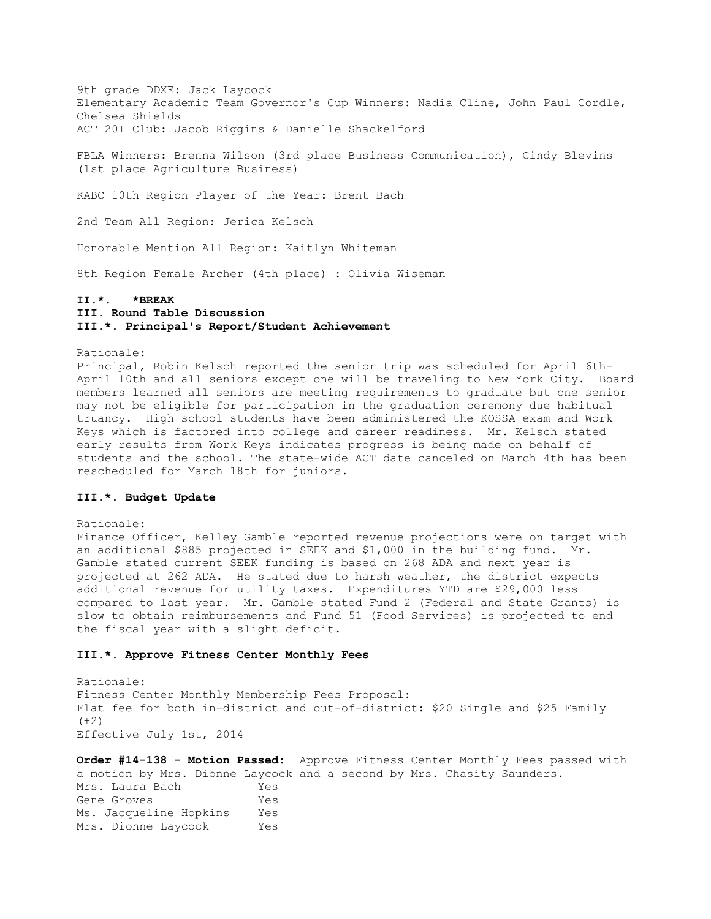9th grade DDXE: Jack Laycock Elementary Academic Team Governor's Cup Winners: Nadia Cline, John Paul Cordle, Chelsea Shields ACT 20+ Club: Jacob Riggins & Danielle Shackelford

FBLA Winners: Brenna Wilson (3rd place Business Communication), Cindy Blevins (1st place Agriculture Business)

KABC 10th Region Player of the Year: Brent Bach

2nd Team All Region: Jerica Kelsch

Honorable Mention All Region: Kaitlyn Whiteman

8th Region Female Archer (4th place) : Olivia Wiseman

# **II.\*. \*BREAK III. Round Table Discussion III.\*. Principal's Report/Student Achievement**

Rationale:

Principal, Robin Kelsch reported the senior trip was scheduled for April 6th-April 10th and all seniors except one will be traveling to New York City. Board members learned all seniors are meeting requirements to graduate but one senior may not be eligible for participation in the graduation ceremony due habitual truancy. High school students have been administered the KOSSA exam and Work Keys which is factored into college and career readiness. Mr. Kelsch stated early results from Work Keys indicates progress is being made on behalf of students and the school. The state-wide ACT date canceled on March 4th has been rescheduled for March 18th for juniors.

# **III.\*. Budget Update**

Rationale:

Finance Officer, Kelley Gamble reported revenue projections were on target with an additional \$885 projected in SEEK and \$1,000 in the building fund. Mr. Gamble stated current SEEK funding is based on 268 ADA and next year is projected at 262 ADA. He stated due to harsh weather, the district expects additional revenue for utility taxes. Expenditures YTD are \$29,000 less compared to last year. Mr. Gamble stated Fund 2 (Federal and State Grants) is slow to obtain reimbursements and Fund 51 (Food Services) is projected to end the fiscal year with a slight deficit.

#### **III.\*. Approve Fitness Center Monthly Fees**

Rationale: Fitness Center Monthly Membership Fees Proposal: Flat fee for both in-district and out-of-district: \$20 Single and \$25 Family  $(+2)$ Effective July 1st, 2014

**Order #14-138 - Motion Passed:** Approve Fitness Center Monthly Fees passed with a motion by Mrs. Dionne Laycock and a second by Mrs. Chasity Saunders. Mrs. Laura Bach Yes Gene Groves Yes Ms. Jacqueline Hopkins Yes Mrs. Dionne Laycock Yes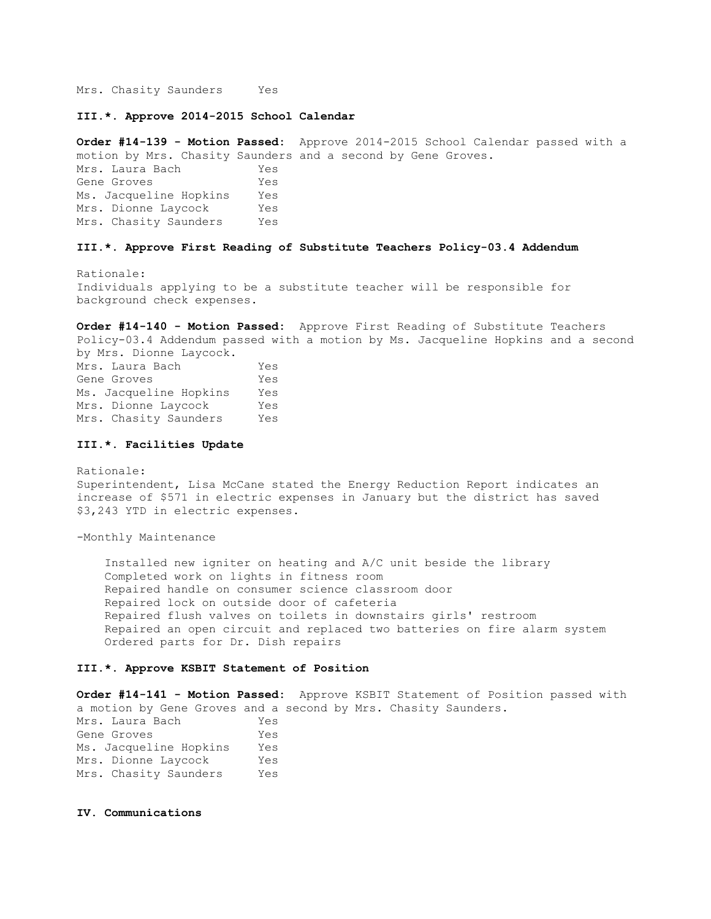Mrs. Chasity Saunders Yes

**III.\*. Approve 2014-2015 School Calendar** 

**Order #14-139 - Motion Passed:** Approve 2014-2015 School Calendar passed with a motion by Mrs. Chasity Saunders and a second by Gene Groves.

Mrs. Laura Bach Yes Gene Groves Yes Ms. Jacqueline Hopkins Yes Mrs. Dionne Laycock Yes Mrs. Chasity Saunders Yes

### **III.\*. Approve First Reading of Substitute Teachers Policy-03.4 Addendum**

Rationale: Individuals applying to be a substitute teacher will be responsible for background check expenses.

**Order #14-140 - Motion Passed:** Approve First Reading of Substitute Teachers Policy-03.4 Addendum passed with a motion by Ms. Jacqueline Hopkins and a second by Mrs. Dionne Laycock.

Mrs. Laura Bach Yes Gene Groves Tes Ms. Jacqueline Hopkins Yes Mrs. Dionne Laycock Yes Mrs. Chasity Saunders Yes

### **III.\*. Facilities Update**

Rationale: Superintendent, Lisa McCane stated the Energy Reduction Report indicates an increase of \$571 in electric expenses in January but the district has saved \$3,243 YTD in electric expenses.

-Monthly Maintenance

 Installed new igniter on heating and A/C unit beside the library Completed work on lights in fitness room Repaired handle on consumer science classroom door Repaired lock on outside door of cafeteria Repaired flush valves on toilets in downstairs girls' restroom Repaired an open circuit and replaced two batteries on fire alarm system Ordered parts for Dr. Dish repairs

### **III.\*. Approve KSBIT Statement of Position**

**Order #14-141 - Motion Passed:** Approve KSBIT Statement of Position passed with a motion by Gene Groves and a second by Mrs. Chasity Saunders. Mrs. Laura Bach Yes Gene Groves Yes Ms. Jacqueline Hopkins Yes Mrs. Dionne Laycock Yes Mrs. Chasity Saunders Yes

### **IV. Communications**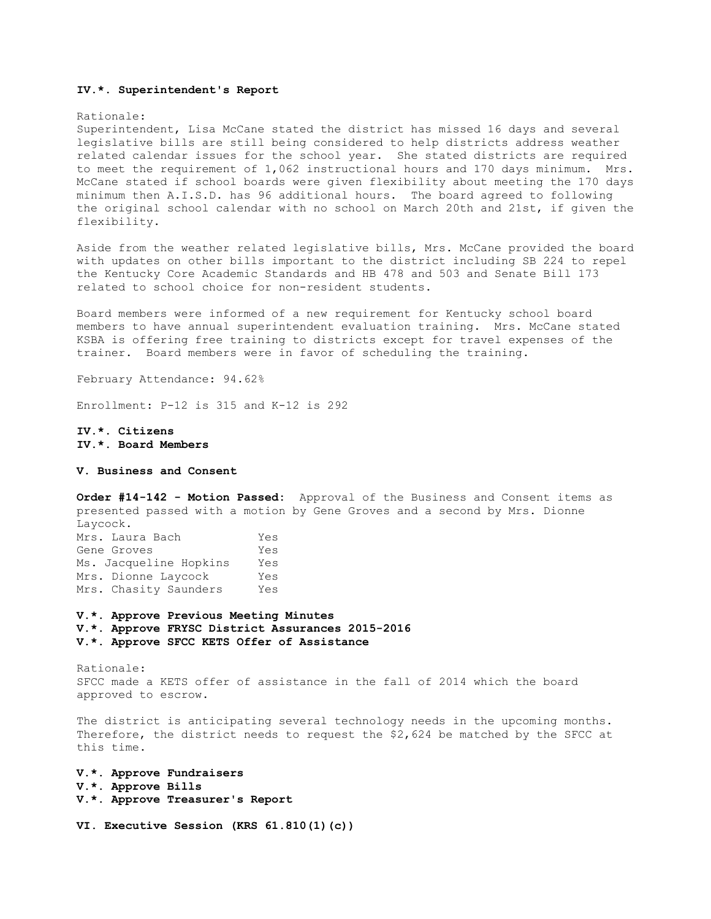#### **IV.\*. Superintendent's Report**

#### Rationale:

Superintendent, Lisa McCane stated the district has missed 16 days and several legislative bills are still being considered to help districts address weather related calendar issues for the school year. She stated districts are required to meet the requirement of 1,062 instructional hours and 170 days minimum. Mrs. McCane stated if school boards were given flexibility about meeting the 170 days minimum then A.I.S.D. has 96 additional hours. The board agreed to following the original school calendar with no school on March 20th and 21st, if given the flexibility.

Aside from the weather related legislative bills, Mrs. McCane provided the board with updates on other bills important to the district including SB 224 to repel the Kentucky Core Academic Standards and HB 478 and 503 and Senate Bill 173 related to school choice for non-resident students.

Board members were informed of a new requirement for Kentucky school board members to have annual superintendent evaluation training. Mrs. McCane stated KSBA is offering free training to districts except for travel expenses of the trainer. Board members were in favor of scheduling the training.

February Attendance: 94.62%

Enrollment: P-12 is 315 and K-12 is 292

# **IV.\*. Citizens IV.\*. Board Members**

#### **V. Business and Consent**

**Order #14-142 - Motion Passed:** Approval of the Business and Consent items as presented passed with a motion by Gene Groves and a second by Mrs. Dionne Laycock.

| Mrs. Laura Bach        | Yes |
|------------------------|-----|
| Gene Groves            | Yes |
| Ms. Jacqueline Hopkins | Yes |
| Mrs. Dionne Laycock    | Yes |
| Mrs. Chasity Saunders  | Yes |

**V.\*. Approve Previous Meeting Minutes** 

- **V.\*. Approve FRYSC District Assurances 2015-2016**
- **V.\*. Approve SFCC KETS Offer of Assistance**

Rationale: SFCC made a KETS offer of assistance in the fall of 2014 which the board approved to escrow.

The district is anticipating several technology needs in the upcoming months. Therefore, the district needs to request the \$2,624 be matched by the SFCC at this time.

- **V.\*. Approve Fundraisers V.\*. Approve Bills V.\*. Approve Treasurer's Report**
- **VI. Executive Session (KRS 61.810(1)(c))**